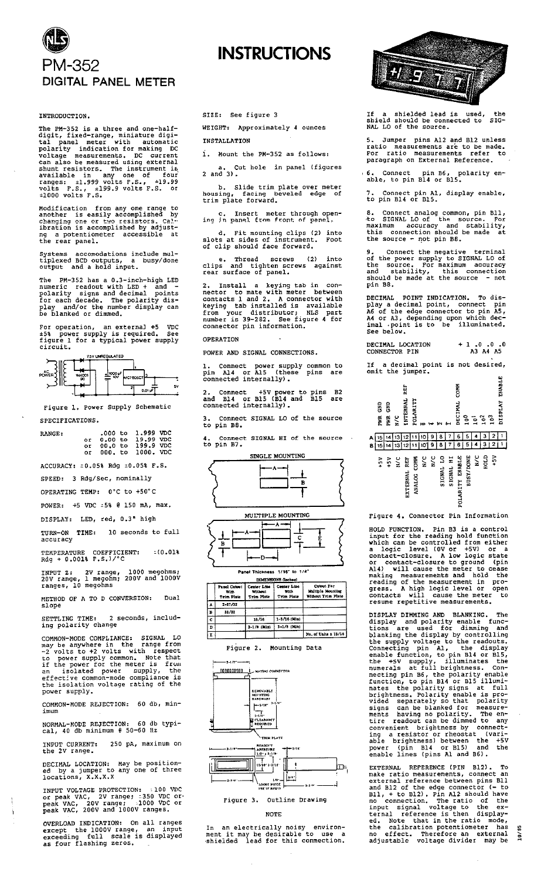# PM-352 DIGITAL PANEL METER

## INTRODUCTION.

The PM-352 is a three and one-half-<br>digit, fixed-range, miniature digi-<br>tal panel meter with automatic<br>polarity indication for making DC<br>voltage measurements. DC current<br>can also be measured using external<br>shunt resistors

Modification from any one range to<br>another is easily accomplished by<br>changing one or two resistors. Cal-<br>ibration is accomplished by adjust-<br>ng a potentiometer accessible at the rear panel.

Systems accomodations include mul-<br>tiplexed BCD outputs, a busy/done<br>output and a hold input.

The PM-352 has a  $0.3$ -inch-high LED<br>numeric readout with LED + and -<br>polarity signs and decimal points<br>for each decade. The polarity dis-<br>play and/or the number display can<br>be blanked or dimmed.

For operation, an external +5 VDC<br>+5% power supply is required. See<br>figure 1 for a typical power supply<br>circuit.



Figure 1. Power Supply Schematic SPECIFICATIONS.

| RANGE: |  | .000 to 1,999 VDC    |  |
|--------|--|----------------------|--|
|        |  | or 0.00 to 19.99 VDC |  |
|        |  | or 00.0 to 199.9 VDC |  |
|        |  | or 000, to 1000, VDC |  |

ACCURACY: = 0.05% Rdg = 0.05% F.S.

SPEED: 3 Rdg/Sec. nominally

OPERATING TEMP: 0°C to +50°C POWER: +5 VDC = 5% @ 150 mA, max.

DISPLAY: LED, red, 0.3" high

TURN-ON TIME: 10 seconds to full<br>accuracy

TEMPERATURE COEFFICIENT:<br>Rdg + 0.001% F.S.)/°C  $210.018$ 

1.101 2: 2V range, 1000 megohms;<br>20V range, 1 megohm; 200V and 1000V<br>ranges, 10 megohms

METHOD OF A TO D CONVERSION: Dual slope

SETTLING TIME: 2 seconds, including polarity change

COMMON-MODE COMPLIANCE: SIGNAL LO<br>may be anywhere in the range from<br>-2 volts to +2 volts with respect<br>to power supply common. Note that<br>if the power for the meter is from<br>an isolated power supply, the<br>effective common-mode power supply.

COMMON-MODE REJECTION: 60 db, min-

NORMAL-MODE REJECTION: 60 db typi-<br>cal, 40 db minimum @ 50-60 Hz

INPUT CURRENT:<br>the 2V range. 250 pA, maximum on

DECIMAL LOCATION: May be position-<br>ed by a jumper to any one of three<br>locations, X.X.X.X

INPUT VOLTAGE PROTECTION: :100 VDC<br>or peak VAC, 2V range; :350 VDC or-<br>peak VAC, 20V range; :1000 VDC or-<br>peak VAC, 200V and 1000V ranges.

OVERLOAD INDICATION: On all ranges<br>except the 1000V range, an input<br>exceeding full scale is displayed<br>as four flashing zeros.

SIZE: See figure 3

WEIGHT: Approximately 4 ounces INSTALLATION

**INSTRUCTIONS** 

1. Mount the PM-352 as follows:

Cut hole in panel (figures a. C<br>2 and 3).

b. Slide trim plate over meter<br>housing, facing beveled edge of<br>trim plate forward.

c. Insert meter through open-<br>ing in panel from front of panel.

d. Fit mounting clips (2) into<br>slots at sides of instrument. Foot<br>of clip should face forward.

e. Thread screws (2) into<br>clips and tighten-screws against<br>rear-surface-of-panel.

2. Install a keying tab in con-<br>nector to mate with meter between<br>contacts 1 and 2. A connector with<br>keying tab installed is available<br>from your distributor; NLS part<br>number is 39-282. See figure 4 for<br>connector pin inform

## **OPERATION**

 $\overline{B}$ 

POWER AND SIGNAL CONNECTIONS.

1. Connect power supply common to<br>pin Al4 or Al5 (these pins are<br>connected internally).

2. Connect +5V power to pins B2<br>and B14 or B15 (B14 and B15 are<br>connected internally).

Connect SIGNAL LO of the source to pin B8.

Connect SIGNAL HI of the source to pin B7.





D

| <b>DIMENSIONS (laches)</b> |                                           |                                             |                                                 |                                                       |  |  |
|----------------------------|-------------------------------------------|---------------------------------------------|-------------------------------------------------|-------------------------------------------------------|--|--|
|                            | Panel Cutrut<br>w.e.<br><b>Trim Pinte</b> | Center Line<br>Without<br><b>Trim Piste</b> | <b>Center Lize</b><br>with<br><b>Trim Piste</b> | Catrut For<br>Multiple Mounting<br>Without Trim Plate |  |  |
| ۸                          | $2 - 17/32$                               |                                             |                                                 |                                                       |  |  |
| É                          | 31/32                                     |                                             |                                                 |                                                       |  |  |
| c                          |                                           | 15/16                                       | 1-1/16 (Min)                                    |                                                       |  |  |
| D                          |                                           | $3 - 1/6$ (Mia)                             | $3 - 1/3$ (Min)                                 |                                                       |  |  |
| E                          |                                           |                                             |                                                 | No. of Ualts x 15/16                                  |  |  |

#### Figure 2. Mounting Data



Figure 3. Outline Drawing

# **NOTE**

In an electrically noisy environ-<br>ment it may be desirable to use a<br>shielded lead for this conmection.



If a shielded lead is used, the<br>shield should be connected to SIG-<br>NAL LO of the source.

5. Jumper pins Al2 and Bl2 unless<br>ratio measurements are to be made.<br>For ratio measurements refer to<br>paragraph on External Reference.

6. Connect pin B6, polarity en-<br>able, to pin B14 or B15.

7. Connect pin Al, display enable,<br>to pin Bl4 or Bl5.

8. Connect analog common, pin Bll,<br>to SIGNAL LO of the source. For<br>maximum accuracy and stability,<br>this connection should be made at<br>the source - not pin B8.

9. Connect the negative terminal<br>of the power supply to SIGNAL LO of<br>the source. For maximum accuracy<br>and stability, this connection<br>should be made at the source - not pin B8.

DECIMAL POINT INDICATION. To dis-<br>play a decimal point, connect pin<br>A6 of the edge connector to pin A5,<br>A4 or A3, depending upon which dec-<br>imal .point is to be illuminated.<br>See below.

 $+1.0.0.$ <br>A3 A4 A5 DECIMAL LOCATION  $\cdot$ 0 CONNECTOR PIN

If a decimal point is not desired,<br>omit the jumper.



EXTERNAL **ANALOG** POLAR<sup>T</sup>

Figure 4. Connector Pin Information

HOLD FUNCTION. Pin B3 is a control<br>input for the reading hold function<br>which can be controlled from either<br>a logic level (0V or +5V) or a<br>contact-closure. A low logic state<br>or contact-closure to ground (pin<br>Al4) will cause

resume repetitive measurements.<br>
DISPLAY DIMMING AND BLANKING. The<br>
display and polarity enable func-<br>
tions are used for dimming and<br>
blanking the display by controlling<br>
the supply voltage to the readouts.<br>
Connecting pi

EXTERNAL REFERENCE (PIN B12). To<br>make ratio measurements, connect an<br>external reference between pins Bll<br>and Bl2 of the edge connector (- to<br>Bl1, + to Bl2). Pin Al2 should have<br>no connection. The ratio of the<br>ternal refere

10/85